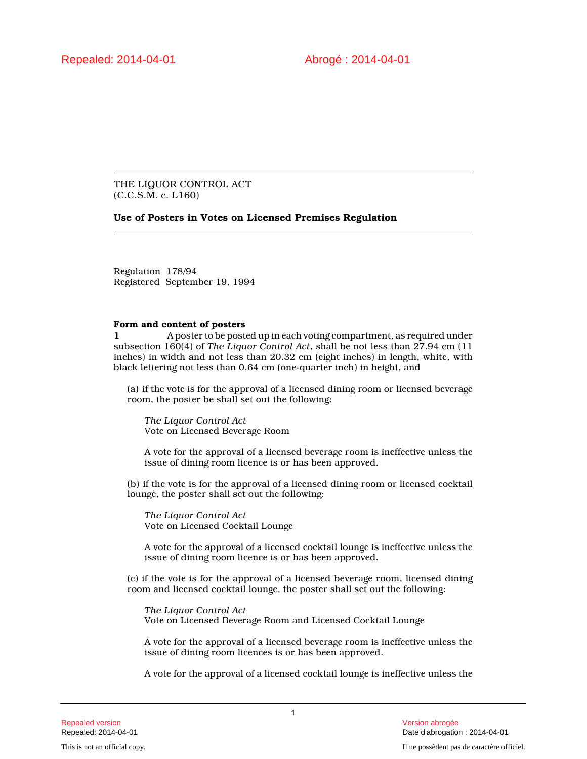THE LIQUOR CONTROL ACT (C.C.S.M. c. L160)

## **Use of Posters in Votes on Licensed Premises Regulation**

Regulation 178/94 Registered September 19, 1994

## **Form and content of posters**

**1** A poster to be posted up in each voting compartment, as required under subsection 160(4) of *The Liquor Control Act*, shall be not less than 27.94 cm (11 inches) in width and not less than 20.32 cm (eight inches) in length, white, with black lettering not less than 0.64 cm (one-quarter inch) in height, and

(a) if the vote is for the approval of a licensed dining room or licensed beverage room, the poster be shall set out the following:

*The Liquor Control Act* Vote on Licensed Beverage Room

A vote for the approval of a licensed beverage room is ineffective unless the issue of dining room licence is or has been approved.

(b) if the vote is for the approval of a licensed dining room or licensed cocktail lounge, the poster shall set out the following:

*The Liquor Control Act* Vote on Licensed Cocktail Lounge

A vote for the approval of a licensed cocktail lounge is ineffective unless the issue of dining room licence is or has been approved.

(c) if the vote is for the approval of a licensed beverage room, licensed dining room and licensed cocktail lounge, the poster shall set out the following:

*The Liquor Control Act* Vote on Licensed Beverage Room and Licensed Cocktail Lounge

A vote for the approval of a licensed beverage room is ineffective unless the issue of dining room licences is or has been approved.

A vote for the approval of a licensed cocktail lounge is ineffective unless the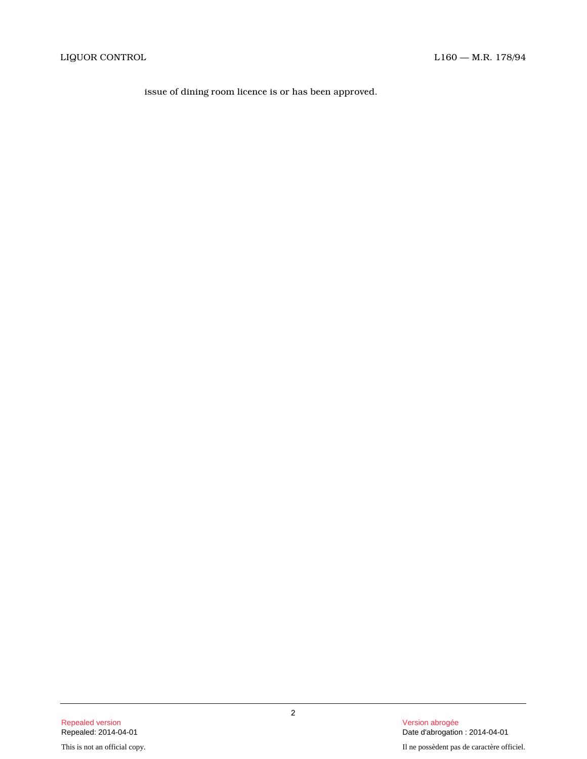issue of dining room licence is or has been approved.